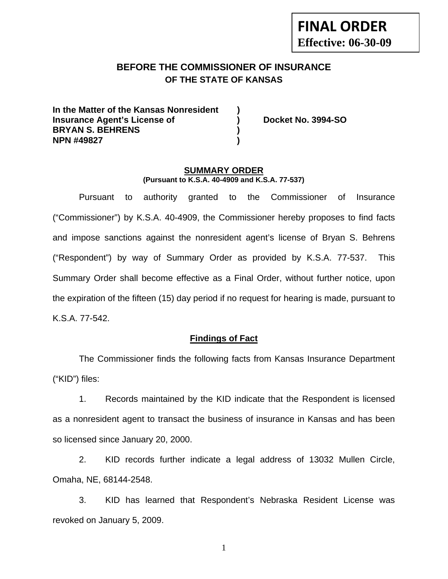## **BEFORE THE COMMISSIONER OF INSURANCE OF THE STATE OF KANSAS**

**In the Matter of the Kansas Nonresident ) Insurance Agent's License of ) Docket No. 3994-SO BRYAN S. BEHRENS ) NPN #49827 )** 

#### **SUMMARY ORDER (Pursuant to K.S.A. 40-4909 and K.S.A. 77-537)**

 Pursuant to authority granted to the Commissioner of Insurance ("Commissioner") by K.S.A. 40-4909, the Commissioner hereby proposes to find facts and impose sanctions against the nonresident agent's license of Bryan S. Behrens ("Respondent") by way of Summary Order as provided by K.S.A. 77-537. This Summary Order shall become effective as a Final Order, without further notice, upon the expiration of the fifteen (15) day period if no request for hearing is made, pursuant to K.S.A. 77-542.

#### **Findings of Fact**

 The Commissioner finds the following facts from Kansas Insurance Department ("KID") files:

 1. Records maintained by the KID indicate that the Respondent is licensed as a nonresident agent to transact the business of insurance in Kansas and has been so licensed since January 20, 2000.

 2. KID records further indicate a legal address of 13032 Mullen Circle, Omaha, NE, 68144-2548.

 3. KID has learned that Respondent's Nebraska Resident License was revoked on January 5, 2009.

1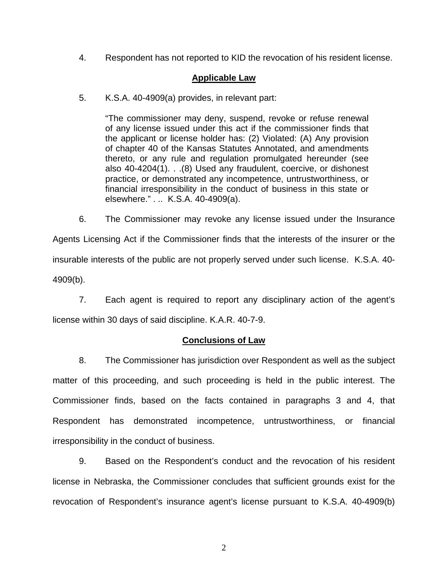4. Respondent has not reported to KID the revocation of his resident license.

#### **Applicable Law**

5. K.S.A. 40-4909(a) provides, in relevant part:

"The commissioner may deny, suspend, revoke or refuse renewal of any license issued under this act if the commissioner finds that the applicant or license holder has: (2) Violated: (A) Any provision of chapter 40 of the Kansas Statutes Annotated, and amendments thereto, or any rule and regulation promulgated hereunder (see also 40-4204(1). . .(8) Used any fraudulent, coercive, or dishonest practice, or demonstrated any incompetence, untrustworthiness, or financial irresponsibility in the conduct of business in this state or elsewhere." . .. K.S.A. 40-4909(a).

 6. The Commissioner may revoke any license issued under the Insurance Agents Licensing Act if the Commissioner finds that the interests of the insurer or the insurable interests of the public are not properly served under such license. K.S.A. 40- 4909(b).

 7. Each agent is required to report any disciplinary action of the agent's license within 30 days of said discipline. K.A.R. 40-7-9.

#### **Conclusions of Law**

 8. The Commissioner has jurisdiction over Respondent as well as the subject matter of this proceeding, and such proceeding is held in the public interest. The Commissioner finds, based on the facts contained in paragraphs 3 and 4, that Respondent has demonstrated incompetence, untrustworthiness, or financial irresponsibility in the conduct of business.

 9. Based on the Respondent's conduct and the revocation of his resident license in Nebraska, the Commissioner concludes that sufficient grounds exist for the revocation of Respondent's insurance agent's license pursuant to K.S.A. 40-4909(b)

2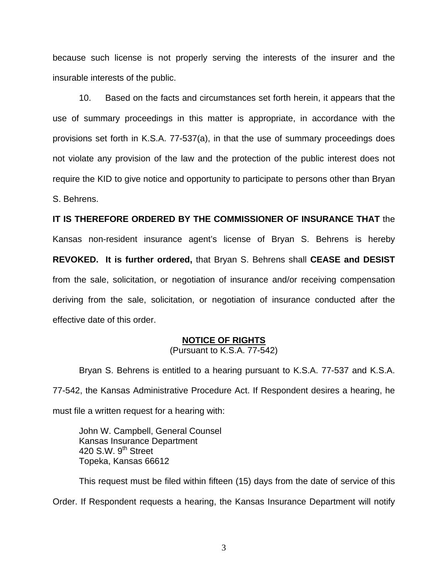because such license is not properly serving the interests of the insurer and the insurable interests of the public.

 10. Based on the facts and circumstances set forth herein, it appears that the use of summary proceedings in this matter is appropriate, in accordance with the provisions set forth in K.S.A. 77-537(a), in that the use of summary proceedings does not violate any provision of the law and the protection of the public interest does not require the KID to give notice and opportunity to participate to persons other than Bryan S. Behrens.

**IT IS THEREFORE ORDERED BY THE COMMISSIONER OF INSURANCE THAT** the Kansas non-resident insurance agent's license of Bryan S. Behrens is hereby **REVOKED. It is further ordered,** that Bryan S. Behrens shall **CEASE and DESIST** from the sale, solicitation, or negotiation of insurance and/or receiving compensation deriving from the sale, solicitation, or negotiation of insurance conducted after the effective date of this order.

# **NOTICE OF RIGHTS**

(Pursuant to K.S.A. 77-542)

Bryan S. Behrens is entitled to a hearing pursuant to K.S.A. 77-537 and K.S.A. 77-542, the Kansas Administrative Procedure Act. If Respondent desires a hearing, he must file a written request for a hearing with:

 John W. Campbell, General Counsel Kansas Insurance Department 420 S.W.  $9<sup>th</sup>$  Street Topeka, Kansas 66612

This request must be filed within fifteen (15) days from the date of service of this Order. If Respondent requests a hearing, the Kansas Insurance Department will notify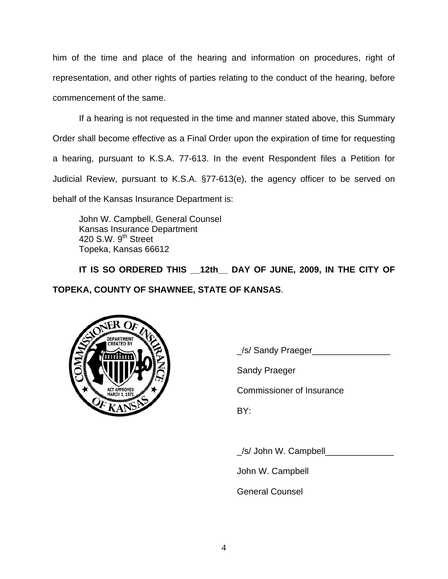him of the time and place of the hearing and information on procedures, right of representation, and other rights of parties relating to the conduct of the hearing, before commencement of the same.

If a hearing is not requested in the time and manner stated above, this Summary Order shall become effective as a Final Order upon the expiration of time for requesting a hearing, pursuant to K.S.A. 77-613. In the event Respondent files a Petition for Judicial Review, pursuant to K.S.A. §77-613(e), the agency officer to be served on behalf of the Kansas Insurance Department is:

 John W. Campbell, General Counsel Kansas Insurance Department 420 S.W. 9<sup>th</sup> Street Topeka, Kansas 66612

IT IS SO ORDERED THIS 12th DAY OF JUNE, 2009, IN THE CITY OF **TOPEKA, COUNTY OF SHAWNEE, STATE OF KANSAS**.



\_/s/ Sandy Praeger\_\_\_\_\_\_\_\_\_\_\_\_\_\_\_\_

Sandy Praeger

Commissioner of Insurance

/s/ John W. Campbell

John W. Campbell

General Counsel